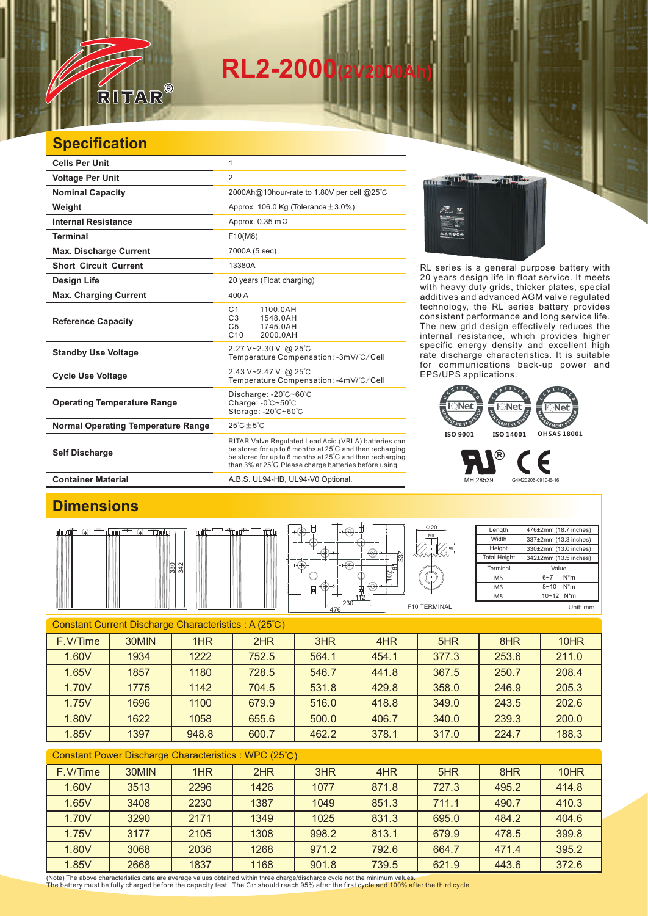# **RL2-2000(2V2000Ah)**

## **Specification**

 $\overline{\nu}$ 

RITAR

 $^{\circledR}$ 

| <b>Cells Per Unit</b>                     | 1                                                                                                                                                                                                                                      |  |  |  |
|-------------------------------------------|----------------------------------------------------------------------------------------------------------------------------------------------------------------------------------------------------------------------------------------|--|--|--|
| <b>Voltage Per Unit</b>                   | $\overline{2}$                                                                                                                                                                                                                         |  |  |  |
| <b>Nominal Capacity</b>                   | 2000Ah@10hour-rate to 1.80V per cell @25°C                                                                                                                                                                                             |  |  |  |
| Weight                                    | Approx. 106.0 Kg (Tolerance $\pm$ 3.0%)                                                                                                                                                                                                |  |  |  |
| <b>Internal Resistance</b>                | Approx. $0.35$ m $\Omega$                                                                                                                                                                                                              |  |  |  |
| <b>Terminal</b>                           | F10(M8)                                                                                                                                                                                                                                |  |  |  |
| <b>Max. Discharge Current</b>             | 7000A (5 sec)                                                                                                                                                                                                                          |  |  |  |
| <b>Short Circuit Current</b>              | 13380A                                                                                                                                                                                                                                 |  |  |  |
| <b>Design Life</b>                        | 20 years (Float charging)                                                                                                                                                                                                              |  |  |  |
| <b>Max. Charging Current</b>              | 400 A                                                                                                                                                                                                                                  |  |  |  |
| <b>Reference Capacity</b>                 | C <sub>1</sub><br>1100.0AH<br>C <sub>3</sub><br>1548.0AH<br>C <sub>5</sub><br>1745.0AH<br>C <sub>10</sub><br>2000.0AH                                                                                                                  |  |  |  |
| <b>Standby Use Voltage</b>                | 2.27 V~2.30 V @ 25°C<br>Temperature Compensation: -3mV/°C/Cell                                                                                                                                                                         |  |  |  |
| <b>Cycle Use Voltage</b>                  | 2.43 V~2.47 V @ 25°C<br>Temperature Compensation: -4mV/°C/Cell                                                                                                                                                                         |  |  |  |
| <b>Operating Temperature Range</b>        | Discharge: $-20^{\circ}$ C $-60^{\circ}$ C<br>Charge: $-0^\circ$ C $-50^\circ$ C<br>Storage: -20°C~60°C                                                                                                                                |  |  |  |
| <b>Normal Operating Temperature Range</b> | $25^{\circ}$ C + 5 $^{\circ}$ C                                                                                                                                                                                                        |  |  |  |
| <b>Self Discharge</b>                     | RITAR Valve Regulated Lead Acid (VRLA) batteries can<br>be stored for up to 6 months at 25°C and then recharging<br>be stored for up to 6 months at 25°C and then recharging<br>than 3% at 25°C. Please charge batteries before using. |  |  |  |

**Container Material Container Material A.B.S. UL94-HB, UL94-V0 Optional.** 



RL series is a general purpose battery with 20 years design life in float service. It meets with heavy duty grids, thicker plates, special additives and advanced AGM valve regulated technology, the RL series battery provides consistent performance and long service life. The new grid design effectively reduces the internal resistance, which provides higher specific energy density and excellent high rate discharge characteristics. It is suitable for communications back-up power and EPS/UPS applications.



F MH 28539 G4M20206-0910-E-16

> **Length Width Height**

> > M5 M6 M8

### **Dimensions**



| ⊭<br>⊭<br>Ħ<br>中<br>112 | $\Phi$ 20<br>M <sub>8</sub><br>337<br>ြ |
|-------------------------|-----------------------------------------|
| 230<br>476              | F10 TERN                                |

**Total Height Terminal** 5  $\overline{\text{MIN}}$ 

 $10~12$  N<sup>\*</sup>m Unit: mm

476±2mm (18.7 inches) 337±2mm (13.3 inches) 330±2mm (13.0 inches) 342±2mm (13.5 inches)

Value 6~7 N\*m  $8 - 10$  N<sup>\*</sup>m

#### Constant Current Discharge Characteristics : A (25℃)

| F.V/Time | 30MIN | 1HR   | 2HR   | 3HR   | 4HR   | 5HR   | 8HR   | 10 <sub>HR</sub> |
|----------|-------|-------|-------|-------|-------|-------|-------|------------------|
| 1.60V    | 1934  | 1222  | 752.5 | 564.1 | 454.1 | 377.3 | 253.6 | 211.0            |
| 1.65V    | 1857  | 1180  | 728.5 | 546.7 | 441.8 | 367.5 | 250.7 | 208.4            |
| 1.70V    | 1775  | 1142  | 704.5 | 531.8 | 429.8 | 358.0 | 246.9 | 205.3            |
| 1.75V    | 1696  | 1100  | 679.9 | 516.0 | 418.8 | 349.0 | 243.5 | 202.6            |
| 1.80V    | 1622  | 1058  | 655.6 | 500.0 | 406.7 | 340.0 | 239.3 | 200.0            |
| 1.85V    | 1397  | 948.8 | 600.7 | 462.2 | 378.1 | 317.0 | 224.7 | 188.3            |

#### Constant Power Discharge Characteristics : WPC (25℃)

| F.V/Time | 30MIN | 1HR  | 2HR  | 3HR   | 4HR   | 5HR   | 8HR   | 10HR  |
|----------|-------|------|------|-------|-------|-------|-------|-------|
| 1.60V    | 3513  | 2296 | 1426 | 1077  | 871.8 | 727.3 | 495.2 | 414.8 |
| 1.65V    | 3408  | 2230 | 1387 | 1049  | 851.3 | 711.1 | 490.7 | 410.3 |
| 1.70V    | 3290  | 2171 | 1349 | 1025  | 831.3 | 695.0 | 484.2 | 404.6 |
| 1.75V    | 3177  | 2105 | 1308 | 998.2 | 813.1 | 679.9 | 478.5 | 399.8 |
| 1.80V    | 3068  | 2036 | 1268 | 971.2 | 792.6 | 664.7 | 471.4 | 395.2 |
| 1.85V    | 2668  | 1837 | 1168 | 901.8 | 739.5 | 621.9 | 443.6 | 372.6 |

(Note) The above characteristics data are average values obtained within three charge/discharge cycle not the minimum values.<br>The battery must be fully charged before the capacity test. The C10 should reach 95% after the